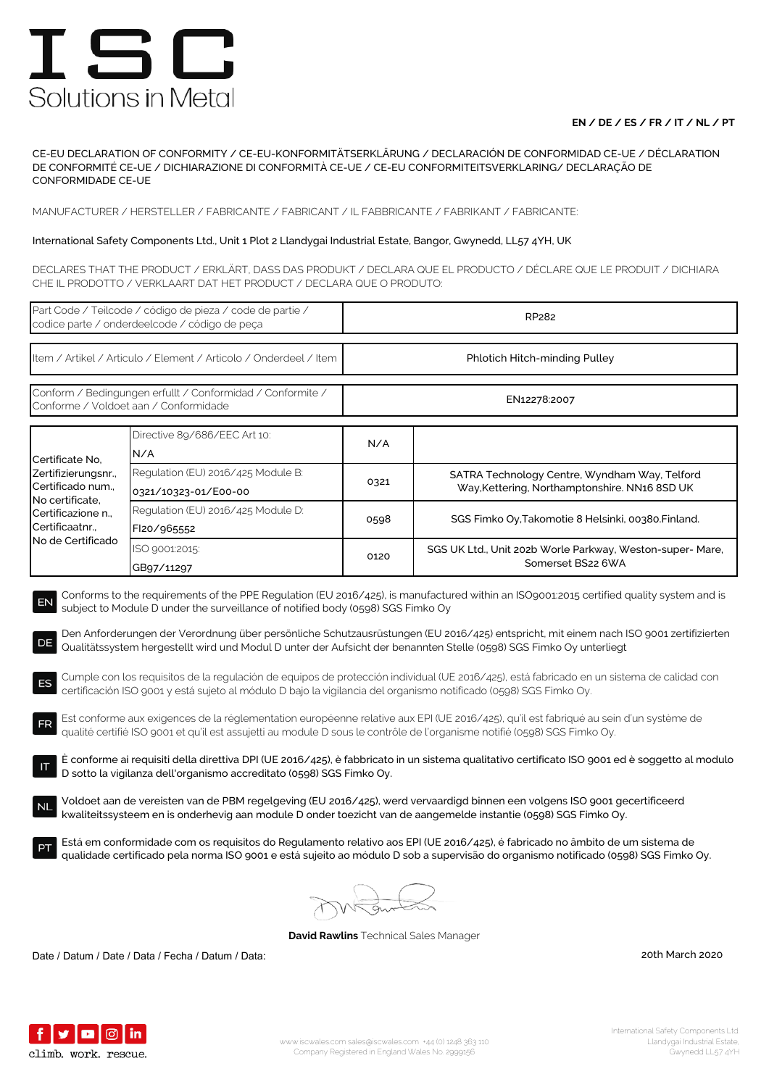## **EN / DE / ES / FR / IT / NL / PT**

CE-EU DECLARATION OF CONFORMITY / CE-EU-KONFORMITÄTSERKLÄRUNG / DECLARACIÓN DE CONFORMIDAD CE-UE / DÉCLARATION DE CONFORMITÉ CE-UE / DICHIARAZIONE DI CONFORMITÀ CE-UE / CE-EU CONFORMITEITSVERKLARING/ DECLARAÇÃO DE CONFORMIDADE CE-UE

MANUFACTURER / HERSTELLER / FABRICANTE / FABRICANT / IL FABBRICANTE / FABRIKANT / FABRICANTE:

### International Safety Components Ltd., Unit 1 Plot 2 Llandygai Industrial Estate, Bangor, Gwynedd, LL57 4YH, UK

DECLARES THAT THE PRODUCT / ERKLÄRT, DASS DAS PRODUKT / DECLARA QUE EL PRODUCTO / DÉCLARE QUE LE PRODUIT / DICHIARA CHE IL PRODOTTO / VERKLAART DAT HET PRODUCT / DECLARA QUE O PRODUTO:

| Part Code / Teilcode / código de pieza / code de partie /<br>codice parte / onderdeelcode / código de peça                                                                                                                                                                                                                                                                                                                                                                                                                                                                                                                                                                                                                                                                                                                                                                                                                                                                                                                                                                                                                                                                                                                                                                                                                                                                                                                                                                                                                                                                                                                                                                                                                                                                                                                       |                                                            | RP282                         |                                                                                                |  |  |
|----------------------------------------------------------------------------------------------------------------------------------------------------------------------------------------------------------------------------------------------------------------------------------------------------------------------------------------------------------------------------------------------------------------------------------------------------------------------------------------------------------------------------------------------------------------------------------------------------------------------------------------------------------------------------------------------------------------------------------------------------------------------------------------------------------------------------------------------------------------------------------------------------------------------------------------------------------------------------------------------------------------------------------------------------------------------------------------------------------------------------------------------------------------------------------------------------------------------------------------------------------------------------------------------------------------------------------------------------------------------------------------------------------------------------------------------------------------------------------------------------------------------------------------------------------------------------------------------------------------------------------------------------------------------------------------------------------------------------------------------------------------------------------------------------------------------------------|------------------------------------------------------------|-------------------------------|------------------------------------------------------------------------------------------------|--|--|
| Item / Artikel / Articulo / Element / Articolo / Onderdeel / Item                                                                                                                                                                                                                                                                                                                                                                                                                                                                                                                                                                                                                                                                                                                                                                                                                                                                                                                                                                                                                                                                                                                                                                                                                                                                                                                                                                                                                                                                                                                                                                                                                                                                                                                                                                |                                                            | Phlotich Hitch-minding Pulley |                                                                                                |  |  |
| Conform / Bedingungen erfullt / Conformidad / Conformite /<br>Conforme / Voldoet aan / Conformidade                                                                                                                                                                                                                                                                                                                                                                                                                                                                                                                                                                                                                                                                                                                                                                                                                                                                                                                                                                                                                                                                                                                                                                                                                                                                                                                                                                                                                                                                                                                                                                                                                                                                                                                              |                                                            | EN12278:2007                  |                                                                                                |  |  |
| Certificate No,<br>Zertifizierungsnr.,<br>Certificado num.,<br>No certificate,<br>Certificazione n.,<br>Certificaatnr.,<br>No de Certificado                                                                                                                                                                                                                                                                                                                                                                                                                                                                                                                                                                                                                                                                                                                                                                                                                                                                                                                                                                                                                                                                                                                                                                                                                                                                                                                                                                                                                                                                                                                                                                                                                                                                                     | Directive 89/686/EEC Art 10:<br>N/A                        | N/A                           |                                                                                                |  |  |
|                                                                                                                                                                                                                                                                                                                                                                                                                                                                                                                                                                                                                                                                                                                                                                                                                                                                                                                                                                                                                                                                                                                                                                                                                                                                                                                                                                                                                                                                                                                                                                                                                                                                                                                                                                                                                                  | Regulation (EU) 2016/425 Module B:<br>0321/10323-01/E00-00 | 0321                          | SATRA Technology Centre, Wyndham Way, Telford<br>Way, Kettering, Northamptonshire. NN16 8SD UK |  |  |
|                                                                                                                                                                                                                                                                                                                                                                                                                                                                                                                                                                                                                                                                                                                                                                                                                                                                                                                                                                                                                                                                                                                                                                                                                                                                                                                                                                                                                                                                                                                                                                                                                                                                                                                                                                                                                                  | Regulation (EU) 2016/425 Module D:<br>FI20/965552          | 0598                          | SGS Fimko Oy, Takomotie 8 Helsinki, 00380. Finland.                                            |  |  |
|                                                                                                                                                                                                                                                                                                                                                                                                                                                                                                                                                                                                                                                                                                                                                                                                                                                                                                                                                                                                                                                                                                                                                                                                                                                                                                                                                                                                                                                                                                                                                                                                                                                                                                                                                                                                                                  | ISO 9001:2015:<br>GB97/11297                               | 0120                          | SGS UK Ltd., Unit 202b Worle Parkway, Weston-super- Mare,<br>Somerset BS22 6WA                 |  |  |
| Conforms to the requirements of the PPE Regulation (EU 2016/425), is manufactured within an ISO9001:2015 certified quality system and is<br>EN<br>subject to Module D under the surveillance of notified body (0598) SGS Fimko Oy<br>Den Anforderungen der Verordnung über persönliche Schutzausrüstungen (EU 2016/425) entspricht, mit einem nach ISO 9001 zertifizierten<br>DE<br>Qualitätssystem hergestellt wird und Modul D unter der Aufsicht der benannten Stelle (0598) SGS Fimko Oy unterliegt<br>Cumple con los requisitos de la regulación de equipos de protección individual (UE 2016/425), está fabricado en un sistema de calidad con<br>ES<br>certificación ISO 9001 y está sujeto al módulo D bajo la vigilancia del organismo notificado (0598) SGS Fimko Oy.<br>Est conforme aux exigences de la réglementation européenne relative aux EPI (UE 2016/425), qu'il est fabriqué au sein d'un système de<br><b>FR</b><br>qualité certifié ISO 9001 et qu'il est assujetti au module D sous le contrôle de l'organisme notifié (0598) SGS Fimko Oy.<br>È conforme ai requisiti della direttiva DPI (UE 2016/425), è fabbricato in un sistema qualitativo certificato ISO 9001 ed è soggetto al modulo<br>D sotto la vigilanza dell'organismo accreditato (0598) SGS Fimko Oy.<br>Voldoet aan de vereisten van de PBM regelgeving (EU 2016/425), werd vervaardigd binnen een volgens ISO 9001 gecertificeerd<br><b>NL</b><br>kwaliteitssysteem en is onderhevig aan module D onder toezicht van de aangemelde instantie (0598) SGS Fimko Oy.<br>Está em conformidade com os requisitos do Regulamento relativo aos EPI (UE 2016/425), é fabricado no âmbito de um sistema de<br>qualidade certificado pela norma ISO 9001 e está sujeito ao módulo D sob a supervisão do organismo notificado (0598) SGS Fimko Oy. |                                                            |                               |                                                                                                |  |  |
|                                                                                                                                                                                                                                                                                                                                                                                                                                                                                                                                                                                                                                                                                                                                                                                                                                                                                                                                                                                                                                                                                                                                                                                                                                                                                                                                                                                                                                                                                                                                                                                                                                                                                                                                                                                                                                  |                                                            |                               |                                                                                                |  |  |

**David Rawlins** Technical Sales Manager

Date / Datum / Date / Data / Fecha / Datum / Data: 20th March 2020

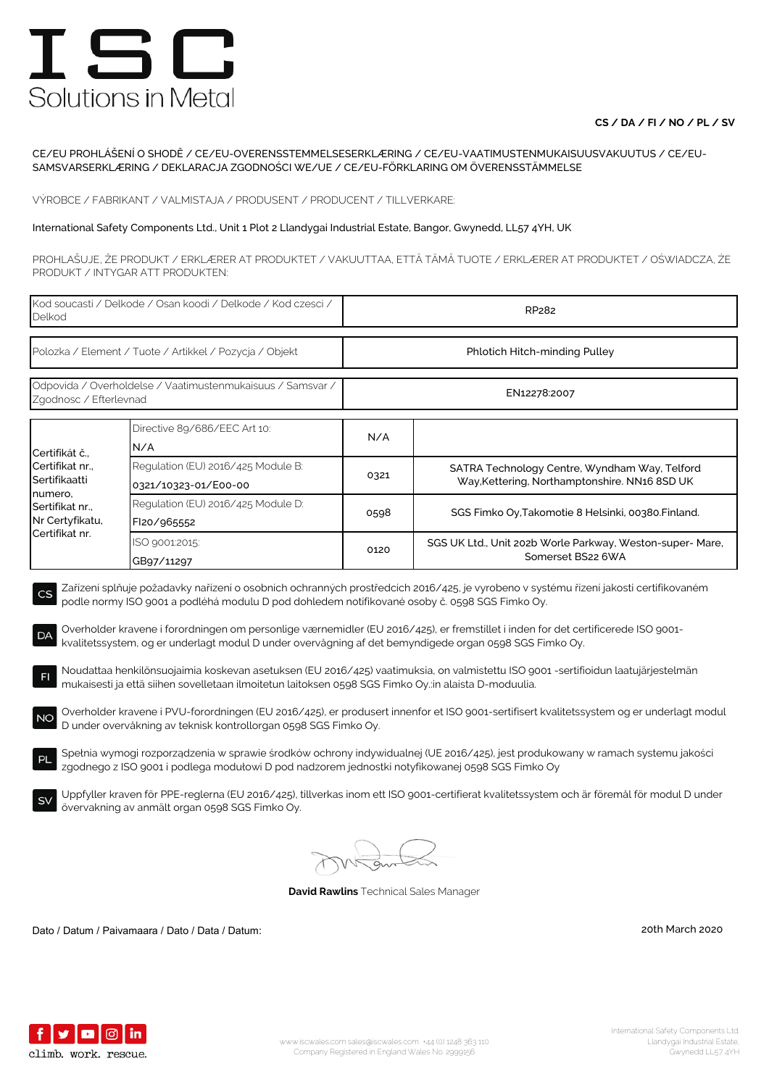## **CS / DA / FI / NO / PL / SV**

#### CE/EU PROHLÁŠENÍ O SHODĚ / CE/EU-OVERENSSTEMMELSESERKLÆRING / CE/EU-VAATIMUSTENMUKAISUUSVAKUUTUS / CE/EU-SAMSVARSERKLÆRING / DEKLARACJA ZGODNOŚCI WE/UE / CE/EU-FÖRKLARING OM ÖVERENSSTÄMMELSE

VÝROBCE / FABRIKANT / VALMISTAJA / PRODUSENT / PRODUCENT / TILLVERKARE:

#### International Safety Components Ltd., Unit 1 Plot 2 Llandygai Industrial Estate, Bangor, Gwynedd, LL57 4YH, UK

PROHLAŠUJE, ŽE PRODUKT / ERKLÆRER AT PRODUKTET / VAKUUTTAA, ETTÄ TÄMÄ TUOTE / ERKLÆRER AT PRODUKTET / OŚWIADCZA, ŻE PRODUKT / INTYGAR ATT PRODUKTEN:

| Kod soucasti / Delkode / Osan koodi / Delkode / Kod czesci /<br>Delkod                                                                                                                                                                                                                                                                                                                                                                                                                           |                                                            | RP282                         |                                                                                                                                            |  |  |
|--------------------------------------------------------------------------------------------------------------------------------------------------------------------------------------------------------------------------------------------------------------------------------------------------------------------------------------------------------------------------------------------------------------------------------------------------------------------------------------------------|------------------------------------------------------------|-------------------------------|--------------------------------------------------------------------------------------------------------------------------------------------|--|--|
| Polozka / Element / Tuote / Artikkel / Pozycja / Objekt                                                                                                                                                                                                                                                                                                                                                                                                                                          |                                                            | Phlotich Hitch-minding Pulley |                                                                                                                                            |  |  |
| Odpovida / Overholdelse / Vaatimustenmukaisuus / Samsvar /<br>Zgodnosc / Efterlevnad                                                                                                                                                                                                                                                                                                                                                                                                             |                                                            | EN12278:2007                  |                                                                                                                                            |  |  |
| Certifikát č.,<br>Certifikat nr.,<br>Sertifikaatti<br>numero,<br>Sertifikat nr.,<br>Nr Certyfikatu,<br>Certifikat nr.                                                                                                                                                                                                                                                                                                                                                                            | Directive 89/686/EEC Art 10:<br>N/A                        | N/A                           |                                                                                                                                            |  |  |
|                                                                                                                                                                                                                                                                                                                                                                                                                                                                                                  | Regulation (EU) 2016/425 Module B:<br>0321/10323-01/E00-00 | 0321                          | SATRA Technology Centre, Wyndham Way, Telford<br>Way, Kettering, Northamptonshire. NN16 8SD UK                                             |  |  |
|                                                                                                                                                                                                                                                                                                                                                                                                                                                                                                  | Regulation (EU) 2016/425 Module D:<br>Fl20/965552          | 0598                          | SGS Fimko Oy, Takomotie 8 Helsinki, 00380. Finland.                                                                                        |  |  |
|                                                                                                                                                                                                                                                                                                                                                                                                                                                                                                  | ISO 9001:2015:<br>GB97/11297                               | 0120                          | SGS UK Ltd., Unit 202b Worle Parkway, Weston-super-Mare,<br>Somerset BS22 6WA                                                              |  |  |
| Zařízení splňuje požadavky nařízení o osobních ochranných prostředcích 2016/425, je vyrobeno v systému řízení jakosti certifikovaném<br>CS<br>podle normy ISO 9001 a podléhá modulu D pod dohledem notifikované osoby č. 0598 SGS Fimko Oy.<br>Overholder kravene i forordningen om personlige værnemidler (EU 2016/425), er fremstillet i inden for det certificerede ISO 9001-<br>DA<br>kvalitetssystem, og er underlagt modul D under overvågning af det bemyndigede organ 0598 SGS Fimko Oy. |                                                            |                               |                                                                                                                                            |  |  |
| Noudattaa henkilönsuojaimia koskevan asetuksen (EU 2016/425) vaatimuksia, on valmistettu ISO 9001 -sertifioidun laatujärjestelmän<br>F1<br>mukaisesti ja että siihen sovelletaan ilmoitetun laitoksen 0598 SGS Fimko Oy.:in alaista D-moduulia.                                                                                                                                                                                                                                                  |                                                            |                               |                                                                                                                                            |  |  |
| Overholder kravene i PVU-forordningen (EU 2016/425), er produsert innenfor et ISO 9001-sertifisert kvalitetssystem og er underlagt modul<br><b>NO</b><br>D under overvåkning av teknisk kontrollorgan 0598 SGS Fimko Oy.                                                                                                                                                                                                                                                                         |                                                            |                               |                                                                                                                                            |  |  |
| Spełnia wymogi rozporządzenia w sprawie środków ochrony indywidualnej (UE 2016/425), jest produkowany w ramach systemu jakości<br><b>PL</b><br>zgodnego z ISO 9001 i podlega modułowi D pod nadzorem jednostki notyfikowanej 0598 SGS Fimko Oy                                                                                                                                                                                                                                                   |                                                            |                               |                                                                                                                                            |  |  |
| <b>SV</b>                                                                                                                                                                                                                                                                                                                                                                                                                                                                                        | övervakning av anmält organ 0598 SGS Fimko Oy.             |                               | Uppfyller kraven för PPE-reglerna (EU 2016/425), tillverkas inom ett ISO 9001-certifierat kvalitetssystem och är föremål för modul D under |  |  |

**David Rawlins** Technical Sales Manager

Dato / Datum / Paivamaara / Dato / Data / Datum: 20th March 2020

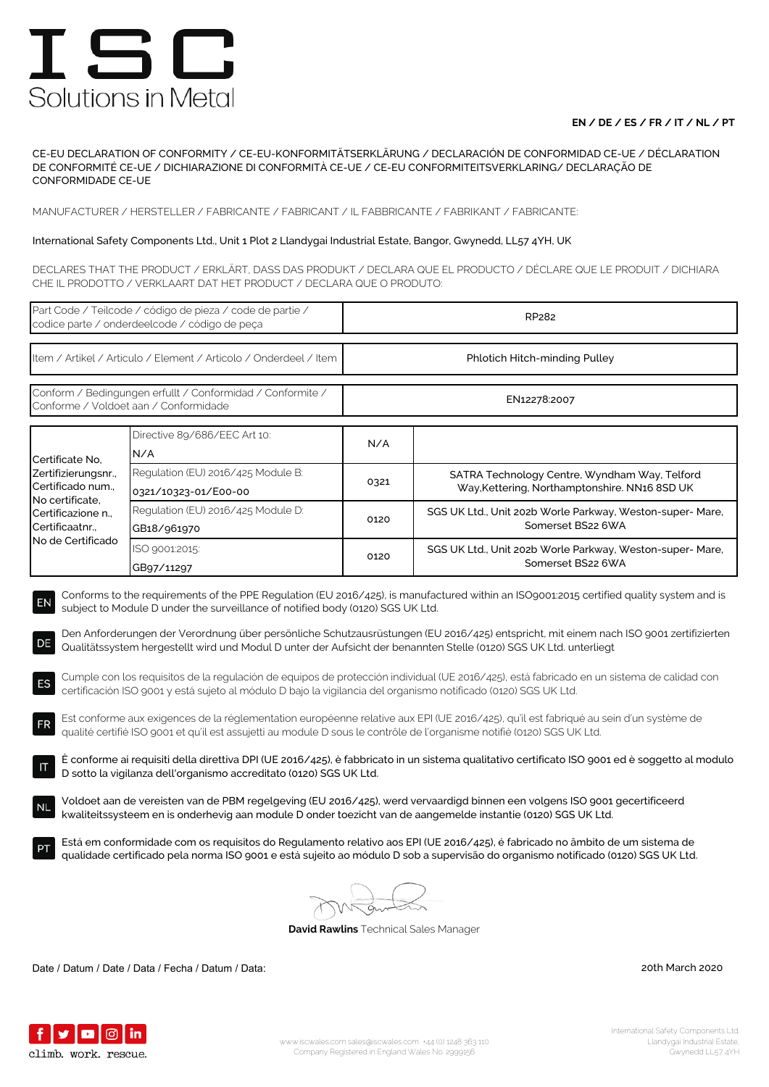## **EN / DE / ES / FR / IT / NL / PT**

CE-EU DECLARATION OF CONFORMITY / CE-EU-KONFORMITÄTSERKLÄRUNG / DECLARACIÓN DE CONFORMIDAD CE-UE / DÉCLARATION DE CONFORMITÉ CE-UE / DICHIARAZIONE DI CONFORMITÀ CE-UE / CE-EU CONFORMITEITSVERKLARING/ DECLARAÇÃO DE CONFORMIDADE CE-UE

MANUFACTURER / HERSTELLER / FABRICANTE / FABRICANT / IL FABBRICANTE / FABRIKANT / FABRICANTE:

### International Safety Components Ltd., Unit 1 Plot 2 Llandygai Industrial Estate, Bangor, Gwynedd, LL57 4YH, UK

DECLARES THAT THE PRODUCT / ERKLÄRT, DASS DAS PRODUKT / DECLARA QUE EL PRODUCTO / DÉCLARE QUE LE PRODUIT / DICHIARA CHE IL PRODOTTO / VERKLAART DAT HET PRODUCT / DECLARA QUE O PRODUTO:

| Part Code / Teilcode / código de pieza / code de partie /<br>codice parte / onderdeelcode / código de peça                                                                                                                                                                                                                                                                                                                                                                                                                                                                                                                                                                                                                                                         |                                                            | RP282                         |                                                                                                |  |  |
|--------------------------------------------------------------------------------------------------------------------------------------------------------------------------------------------------------------------------------------------------------------------------------------------------------------------------------------------------------------------------------------------------------------------------------------------------------------------------------------------------------------------------------------------------------------------------------------------------------------------------------------------------------------------------------------------------------------------------------------------------------------------|------------------------------------------------------------|-------------------------------|------------------------------------------------------------------------------------------------|--|--|
| Item / Artikel / Articulo / Element / Articolo / Onderdeel / Item                                                                                                                                                                                                                                                                                                                                                                                                                                                                                                                                                                                                                                                                                                  |                                                            | Phlotich Hitch-minding Pulley |                                                                                                |  |  |
| Conform / Bedingungen erfullt / Conformidad / Conformite /<br>Conforme / Voldoet aan / Conformidade                                                                                                                                                                                                                                                                                                                                                                                                                                                                                                                                                                                                                                                                |                                                            | EN12278:2007                  |                                                                                                |  |  |
| Certificate No.<br>Zertifizierungsnr.,<br>Certificado num.,<br>No certificate,<br>Certificazione n.,<br>Certificaatnr<br>No de Certificado                                                                                                                                                                                                                                                                                                                                                                                                                                                                                                                                                                                                                         | Directive 89/686/EEC Art 10:<br>N/A                        | N/A                           |                                                                                                |  |  |
|                                                                                                                                                                                                                                                                                                                                                                                                                                                                                                                                                                                                                                                                                                                                                                    | Regulation (EU) 2016/425 Module B:<br>0321/10323-01/E00-00 | 0321                          | SATRA Technology Centre, Wyndham Way, Telford<br>Way, Kettering, Northamptonshire. NN16 8SD UK |  |  |
|                                                                                                                                                                                                                                                                                                                                                                                                                                                                                                                                                                                                                                                                                                                                                                    | Regulation (EU) 2016/425 Module D:<br>GB18/961970          | 0120                          | SGS UK Ltd., Unit 202b Worle Parkway, Weston-super- Mare,<br>Somerset BS22 6WA                 |  |  |
|                                                                                                                                                                                                                                                                                                                                                                                                                                                                                                                                                                                                                                                                                                                                                                    | ISO 9001:2015:<br>GB97/11297                               | 0120                          | SGS UK Ltd., Unit 202b Worle Parkway, Weston-super- Mare,<br>Somerset BS22 6WA                 |  |  |
| subject to Module D under the surveillance of notified body (0120) SGS UK Ltd.<br>Den Anforderungen der Verordnung über persönliche Schutzausrüstungen (EU 2016/425) entspricht, mit einem nach ISO 9001 zertifizierten<br>DE<br>Qualitätssystem hergestellt wird und Modul D unter der Aufsicht der benannten Stelle (0120) SGS UK Ltd. unterliegt<br>Cumple con los requisitos de la regulación de equipos de protección individual (UE 2016/425), está fabricado en un sistema de calidad con<br>ES<br>certificación ISO 9001 y está sujeto al módulo D bajo la vigilancia del organismo notificado (0120) SGS UK Ltd.<br>Est conforme aux exigences de la réglementation européenne relative aux EPI (UE 2016/425), qu'il est fabriqué au sein d'un système de |                                                            |                               |                                                                                                |  |  |
| <b>FR</b><br>qualité certifié ISO 9001 et qu'il est assujetti au module D sous le contrôle de l'organisme notifié (0120) SGS UK Ltd.<br>È conforme ai requisiti della direttiva DPI (UE 2016/425), è fabbricato in un sistema qualitativo certificato ISO 9001 ed è soggetto al modulo<br>D sotto la vigilanza dell'organismo accreditato (0120) SGS UK Ltd.                                                                                                                                                                                                                                                                                                                                                                                                       |                                                            |                               |                                                                                                |  |  |
| Voldoet aan de vereisten van de PBM regelgeving (EU 2016/425), werd vervaardigd binnen een volgens ISO 9001 gecertificeerd<br>kwaliteitssysteem en is onderhevig aan module D onder toezicht van de aangemelde instantie (0120) SGS UK Ltd.                                                                                                                                                                                                                                                                                                                                                                                                                                                                                                                        |                                                            |                               |                                                                                                |  |  |
| Está em conformidade com os requisitos do Regulamento relativo aos EPI (UE 2016/425), é fabricado no âmbito de um sistema de<br>qualidade certificado pela norma ISO 9001 e está sujeito ao módulo D sob a supervisão do organismo notificado (0120) SGS UK Ltd.                                                                                                                                                                                                                                                                                                                                                                                                                                                                                                   |                                                            |                               |                                                                                                |  |  |
|                                                                                                                                                                                                                                                                                                                                                                                                                                                                                                                                                                                                                                                                                                                                                                    |                                                            |                               |                                                                                                |  |  |
| <b>David Rawlins</b> Technical Sales Manager                                                                                                                                                                                                                                                                                                                                                                                                                                                                                                                                                                                                                                                                                                                       |                                                            |                               |                                                                                                |  |  |

Date / Datum / Date / Data / Fecha / Datum / Data: 20th March 2020